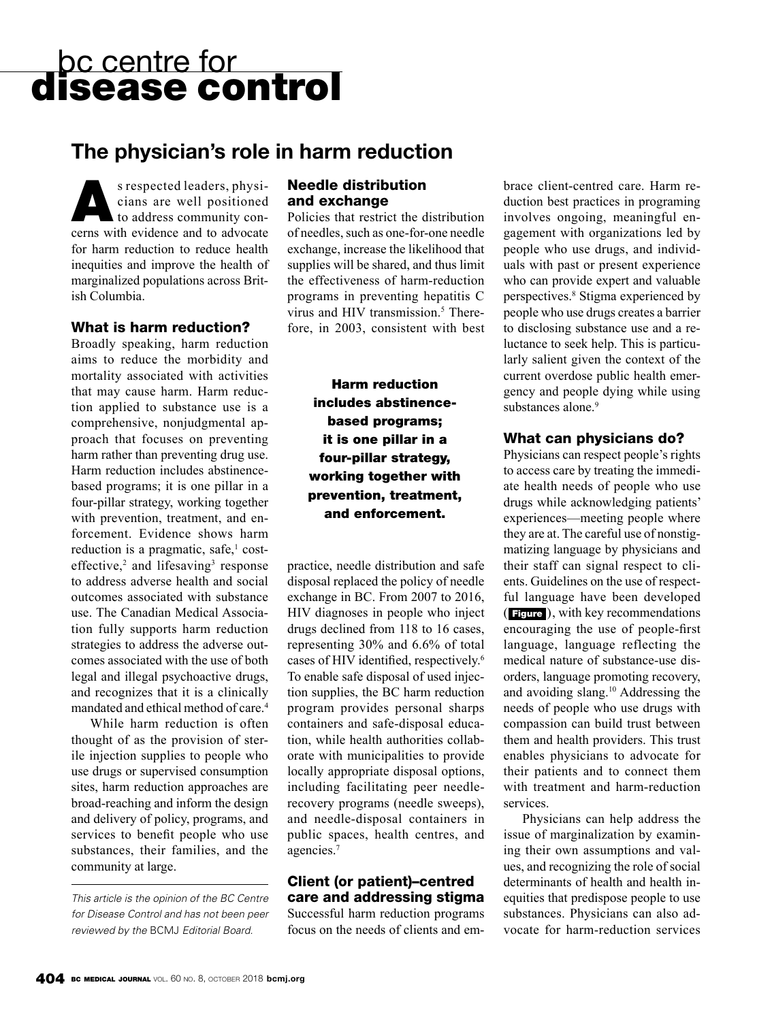# bc centre for<br>**disease control**

## **The physician's role in harm reduction**

S respected leaders, physicians are well positioned<br>to address community concians are well positioned cerns with evidence and to advocate for harm reduction to reduce health inequities and improve the health of marginalized populations across British Columbia.

#### What is harm reduction?

Broadly speaking, harm reduction aims to reduce the morbidity and mortality associated with activities that may cause harm. Harm reduction applied to substance use is a comprehensive, nonjudgmental approach that focuses on preventing harm rather than preventing drug use. Harm reduction includes abstinencebased programs; it is one pillar in a four-pillar strategy, working together with prevention, treatment, and enforcement. Evidence shows harm reduction is a pragmatic, safe,<sup>1</sup> costeffective, $2$  and lifesaving<sup>3</sup> response to address adverse health and social outcomes associated with substance use. The Canadian Medical Association fully supports harm reduction strategies to address the adverse outcomes associated with the use of both legal and illegal psychoactive drugs, and recognizes that it is a clinically mandated and ethical method of care.4

While harm reduction is often thought of as the provision of sterile injection supplies to people who use drugs or supervised consumption sites, harm reduction approaches are broad-reaching and inform the design and delivery of policy, programs, and services to benefit people who use substances, their families, and the community at large.

*This article is the opinion of the BC Centre for Disease Control and has not been peer reviewed by the* BCMJ *Editorial Board.*

#### Needle distribution and exchange

Policies that restrict the distribution of needles, such as one-for-one needle exchange, increase the likelihood that supplies will be shared, and thus limit the effectiveness of harm-reduction programs in preventing hepatitis C virus and HIV transmission.<sup>5</sup> Therefore, in 2003, consistent with best

> Harm reduction includes abstinencebased programs; it is one pillar in a four-pillar strategy, working together with prevention, treatment, and enforcement.

practice, needle distribution and safe disposal replaced the policy of needle exchange in BC. From 2007 to 2016, HIV diagnoses in people who inject drugs declined from 118 to 16 cases, representing 30% and 6.6% of total cases of HIV identified, respectively.<sup>6</sup> To enable safe disposal of used injection supplies, the BC harm reduction program provides personal sharps containers and safe-disposal education, while health authorities collaborate with municipalities to provide locally appropriate disposal options, including facilitating peer needlerecovery programs (needle sweeps), and needle-disposal containers in public spaces, health centres, and agencies.7

### Client (or patient)–centred care and addressing stigma

Successful harm reduction programs focus on the needs of clients and embrace client-centred care. Harm reduction best practices in programing involves ongoing, meaningful engagement with organizations led by people who use drugs, and individuals with past or present experience who can provide expert and valuable perspectives.8 Stigma experienced by people who use drugs creates a barrier to disclosing substance use and a reluctance to seek help. This is particularly salient given the context of the current overdose public health emergency and people dying while using substances alone.<sup>9</sup>

### What can physicians do?

Physicians can respect people's rights to access care by treating the immediate health needs of people who use drugs while acknowledging patients' experiences—meeting people where they are at. The careful use of nonstigmatizing language by physicians and their staff can signal respect to clients. Guidelines on the use of respectful language have been developed ( Figure ), with key recommendations encouraging the use of people-first language, language reflecting the medical nature of substance-use disorders, language promoting recovery, and avoiding slang.10 Addressing the needs of people who use drugs with compassion can build trust between them and health providers. This trust enables physicians to advocate for their patients and to connect them with treatment and harm-reduction services.

Physicians can help address the issue of marginalization by examining their own assumptions and values, and recognizing the role of social determinants of health and health inequities that predispose people to use substances. Physicians can also advocate for harm-reduction services